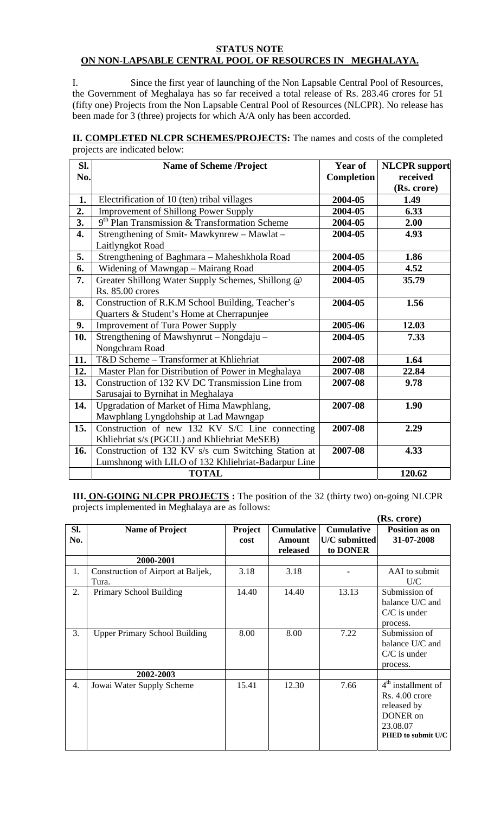## **STATUS NOTE ON NON-LAPSABLE CENTRAL POOL OF RESOURCES IN MEGHALAYA.**

I. Since the first year of launching of the Non Lapsable Central Pool of Resources, the Government of Meghalaya has so far received a total release of Rs. 283.46 crores for 51 (fifty one) Projects from the Non Lapsable Central Pool of Resources (NLCPR). No release has been made for 3 (three) projects for which A/A only has been accorded.

**II. COMPLETED NLCPR SCHEMES/PROJECTS:** The names and costs of the completed projects are indicated below:

| SI. | <b>Name of Scheme /Project</b>                      | <b>Year of</b> | <b>NLCPR</b> support |
|-----|-----------------------------------------------------|----------------|----------------------|
| No. |                                                     | Completion     | received             |
|     |                                                     |                | (Rs. crore)          |
| 1.  | Electrification of 10 (ten) tribal villages         | 2004-05        | 1.49                 |
| 2.  | <b>Improvement of Shillong Power Supply</b>         | 2004-05        | 6.33                 |
| 3.  | $9th$ Plan Transmission & Transformation Scheme     | 2004-05        | 2.00                 |
| 4.  | Strengthening of Smit-Mawkynrew - Mawlat -          | 2004-05        | 4.93                 |
|     | Laitlyngkot Road                                    |                |                      |
| 5.  | Strengthening of Baghmara - Maheshkhola Road        | 2004-05        | 1.86                 |
| 6.  | Widening of Mawngap - Mairang Road                  | 2004-05        | 4.52                 |
| 7.  | Greater Shillong Water Supply Schemes, Shillong @   | 2004-05        | 35.79                |
|     | Rs. 85.00 crores                                    |                |                      |
| 8.  | Construction of R.K.M School Building, Teacher's    | 2004-05        | 1.56                 |
|     | Quarters & Student's Home at Cherrapunjee           |                |                      |
| 9.  | <b>Improvement of Tura Power Supply</b>             | 2005-06        | 12.03                |
| 10. | Strengthening of Mawshynrut – Nongdaju –            | 2004-05        | 7.33                 |
|     | Nongchram Road                                      |                |                      |
| 11. | T&D Scheme - Transformer at Khliehriat              | 2007-08        | 1.64                 |
| 12. | Master Plan for Distribution of Power in Meghalaya  | 2007-08        | 22.84                |
| 13. | Construction of 132 KV DC Transmission Line from    | 2007-08        | 9.78                 |
|     | Sarusajai to Byrnihat in Meghalaya                  |                |                      |
| 14. | Upgradation of Market of Hima Mawphlang,            | 2007-08        | 1.90                 |
|     | Mawphlang Lyngdohship at Lad Mawngap                |                |                      |
| 15. | Construction of new 132 KV S/C Line connecting      | 2007-08        | 2.29                 |
|     | Khliehriat s/s (PGCIL) and Khliehriat MeSEB)        |                |                      |
| 16. | Construction of 132 KV s/s cum Switching Station at | 2007-08        | 4.33                 |
|     | Lumshnong with LILO of 132 Khliehriat-Badarpur Line |                |                      |
|     | <b>TOTAL</b>                                        |                | 120.62               |

**III. ON-GOING NLCPR PROJECTS :** The position of the 32 (thirty two) on-going NLCPR projects implemented in Meghalaya are as follows:

|            |                                             |                        |                                         |                                                | (Rs. crore)                                                                                         |
|------------|---------------------------------------------|------------------------|-----------------------------------------|------------------------------------------------|-----------------------------------------------------------------------------------------------------|
| SI.<br>No. | <b>Name of Project</b>                      | <b>Project</b><br>cost | <b>Cumulative</b><br>Amount<br>released | <b>Cumulative</b><br>U/C submitted<br>to DONER | Position as on<br>31-07-2008                                                                        |
|            | 2000-2001                                   |                        |                                         |                                                |                                                                                                     |
| 1.         | Construction of Airport at Baljek,<br>Tura. | 3.18                   | 3.18                                    |                                                | AAI to submit<br>U/C                                                                                |
| 2.         | Primary School Building                     | 14.40                  | 14.40                                   | 13.13                                          | Submission of<br>balance U/C and<br>$C/C$ is under<br>process.                                      |
| 3.         | <b>Upper Primary School Building</b>        | 8.00                   | 8.00                                    | 7.22                                           | Submission of<br>balance U/C and<br>$C/C$ is under<br>process.                                      |
|            | 2002-2003                                   |                        |                                         |                                                |                                                                                                     |
| 4.         | Jowai Water Supply Scheme                   | 15.41                  | 12.30                                   | 7.66                                           | $4th$ installment of<br>Rs. 4.00 crore<br>released by<br>DONER on<br>23.08.07<br>PHED to submit U/C |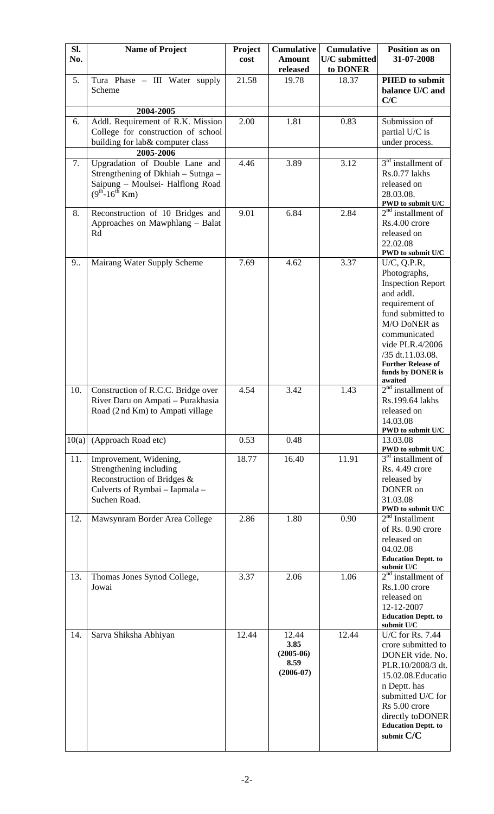| SI.<br>No. | <b>Name of Project</b>                                                                                                              | Project<br>cost | <b>Cumulative</b><br><b>Amount</b>                  | <b>Cumulative</b><br>U/C submitted | <b>Position as on</b><br>31-07-2008                                                                                                                                                                                                             |
|------------|-------------------------------------------------------------------------------------------------------------------------------------|-----------------|-----------------------------------------------------|------------------------------------|-------------------------------------------------------------------------------------------------------------------------------------------------------------------------------------------------------------------------------------------------|
|            |                                                                                                                                     |                 | released                                            | to DONER                           |                                                                                                                                                                                                                                                 |
| 5.         | Tura Phase - III Water supply<br>Scheme                                                                                             | 21.58           | 19.78                                               | 18.37                              | <b>PHED</b> to submit<br>balance U/C and<br>C/C                                                                                                                                                                                                 |
|            | 2004-2005                                                                                                                           |                 |                                                     |                                    |                                                                                                                                                                                                                                                 |
| 6.         | Addl. Requirement of R.K. Mission<br>College for construction of school<br>building for lab& computer class                         | 2.00            | 1.81                                                | 0.83                               | Submission of<br>partial U/C is<br>under process.                                                                                                                                                                                               |
|            | 2005-2006                                                                                                                           |                 |                                                     |                                    |                                                                                                                                                                                                                                                 |
| 7.         | Upgradation of Double Lane and<br>Strengthening of Dkhiah - Sutnga -<br>Saipung - Moulsei- Halflong Road<br>$(9^{th} - 16^{th}$ Km) | 4.46            | 3.89                                                | 3.12                               | $3rd$ installment of<br>Rs.0.77 lakhs<br>released on<br>28.03.08.<br>PWD to submit U/C                                                                                                                                                          |
| 8.         | Reconstruction of 10 Bridges and<br>Approaches on Mawphlang - Balat<br>Rd                                                           | 9.01            | 6.84                                                | 2.84                               | $2nd$ installment of<br>Rs.4.00 crore<br>released on<br>22.02.08<br>PWD to submit U/C                                                                                                                                                           |
| 9          | Mairang Water Supply Scheme                                                                                                         | 7.69            | 4.62                                                | 3.37                               | U/C, Q.P.R,<br>Photographs,<br><b>Inspection Report</b><br>and addl.<br>requirement of<br>fund submitted to<br>M/O DoNER as<br>communicated<br>vide PLR.4/2006<br>/35 dt.11.03.08.<br><b>Further Release of</b><br>funds by DONER is<br>awaited |
| 10.        | Construction of R.C.C. Bridge over<br>River Daru on Ampati – Purakhasia<br>Road (2 nd Km) to Ampati village                         | 4.54            | 3.42                                                | 1.43                               | $2nd$ installment of<br>Rs.199.64 lakhs<br>released on<br>14.03.08<br>PWD to submit U/C                                                                                                                                                         |
| 10(a)      | (Approach Road etc)                                                                                                                 | 0.53            | 0.48                                                |                                    | 13.03.08<br>PWD to submit U/C                                                                                                                                                                                                                   |
| 11.        | Improvement, Widening,<br>Strengthening including<br>Reconstruction of Bridges &<br>Culverts of Rymbai - Iapmala -<br>Suchen Road.  | 18.77           | 16.40                                               | 11.91                              | $3rd$ installment of<br>Rs. 4.49 crore<br>released by<br>DONER on<br>31.03.08<br>PWD to submit U/C                                                                                                                                              |
| 12.        | Mawsynram Border Area College                                                                                                       | 2.86            | 1.80                                                | 0.90                               | $2nd$ Installment<br>of Rs. 0.90 crore<br>released on<br>04.02.08<br><b>Education Deptt. to</b><br>submit U/C                                                                                                                                   |
| 13.        | Thomas Jones Synod College,<br>Jowai                                                                                                | 3.37            | 2.06                                                | 1.06                               | $2nd$ installment of<br>Rs.1.00 crore<br>released on<br>12-12-2007<br><b>Education Deptt. to</b><br>submit U/C                                                                                                                                  |
| 14.        | Sarva Shiksha Abhiyan                                                                                                               | 12.44           | 12.44<br>3.85<br>$(2005-06)$<br>8.59<br>$(2006-07)$ | 12.44                              | U/C for Rs. 7.44<br>crore submitted to<br>DONER vide. No.<br>PLR.10/2008/3 dt.<br>15.02.08. Educatio<br>n Deptt. has<br>submitted U/C for<br>Rs 5.00 crore<br>directly to DONER<br><b>Education Deptt. to</b><br>submit C/C                     |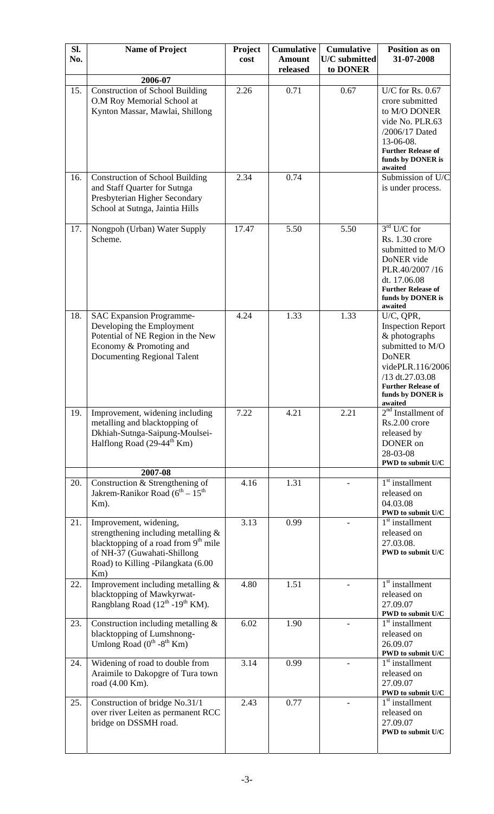| SI. | <b>Name of Project</b>                                                                  | Project | <b>Cumulative</b>         | <b>Cumulative</b>                | Position as on                                 |
|-----|-----------------------------------------------------------------------------------------|---------|---------------------------|----------------------------------|------------------------------------------------|
| No. |                                                                                         | cost    | <b>Amount</b><br>released | <b>U/C</b> submitted<br>to DONER | 31-07-2008                                     |
|     | 2006-07                                                                                 |         |                           |                                  |                                                |
| 15. | <b>Construction of School Building</b><br>O.M Roy Memorial School at                    | 2.26    | 0.71                      | 0.67                             | U/C for Rs. $0.67$<br>crore submitted          |
|     | Kynton Massar, Mawlai, Shillong                                                         |         |                           |                                  | to M/O DONER                                   |
|     |                                                                                         |         |                           |                                  | vide No. PLR.63                                |
|     |                                                                                         |         |                           |                                  | /2006/17 Dated<br>13-06-08.                    |
|     |                                                                                         |         |                           |                                  | <b>Further Release of</b>                      |
|     |                                                                                         |         |                           |                                  | funds by DONER is<br>awaited                   |
| 16. | <b>Construction of School Building</b><br>and Staff Quarter for Sutnga                  | 2.34    | 0.74                      |                                  | Submission of U/C                              |
|     | Presbyterian Higher Secondary                                                           |         |                           |                                  | is under process.                              |
|     | School at Sutnga, Jaintia Hills                                                         |         |                           |                                  |                                                |
| 17. | Nongpoh (Urban) Water Supply                                                            | 17.47   | 5.50                      | 5.50                             | $3rd$ U/C for                                  |
|     | Scheme.                                                                                 |         |                           |                                  | Rs. 1.30 crore<br>submitted to M/O             |
|     |                                                                                         |         |                           |                                  | DoNER vide                                     |
|     |                                                                                         |         |                           |                                  | PLR.40/2007/16                                 |
|     |                                                                                         |         |                           |                                  | dt. 17.06.08<br><b>Further Release of</b>      |
|     |                                                                                         |         |                           |                                  | funds by DONER is<br>awaited                   |
| 18. | <b>SAC Expansion Programme-</b>                                                         | 4.24    | 1.33                      | 1.33                             | U/C, QPR,                                      |
|     | Developing the Employment<br>Potential of NE Region in the New                          |         |                           |                                  | <b>Inspection Report</b><br>& photographs      |
|     | Economy & Promoting and                                                                 |         |                           |                                  | submitted to M/O                               |
|     | <b>Documenting Regional Talent</b>                                                      |         |                           |                                  | <b>DoNER</b><br>videPLR.116/2006               |
|     |                                                                                         |         |                           |                                  | /13 dt.27.03.08                                |
|     |                                                                                         |         |                           |                                  | <b>Further Release of</b><br>funds by DONER is |
| 19. | Improvement, widening including                                                         | 7.22    | 4.21                      | 2.21                             | awaited<br>$2nd$ Installment of                |
|     | metalling and blacktopping of                                                           |         |                           |                                  | Rs.2.00 crore                                  |
|     | Dkhiah-Sutnga-Saipung-Moulsei-                                                          |         |                           |                                  | released by                                    |
|     | Halflong Road (29-44 <sup>th</sup> Km)                                                  |         |                           |                                  | DONER on<br>28-03-08                           |
|     | 2007-08                                                                                 |         |                           |                                  | PWD to submit U/C                              |
| 20. | Construction & Strengthening of                                                         | 4.16    | 1.31                      |                                  | $1st$ installment                              |
|     | Jakrem-Ranikor Road ( $6th - 15th$                                                      |         |                           |                                  | released on                                    |
|     | Km).                                                                                    |         |                           |                                  | 04.03.08<br>PWD to submit U/C                  |
| 21. | Improvement, widening,                                                                  | 3.13    | 0.99                      |                                  | $1st$ installment                              |
|     | strengthening including metalling &<br>blacktopping of a road from 9 <sup>th</sup> mile |         |                           |                                  | released on<br>27.03.08.                       |
|     | of NH-37 (Guwahati-Shillong                                                             |         |                           |                                  | PWD to submit U/C                              |
|     | Road) to Killing -Pilangkata (6.00<br>Km)                                               |         |                           |                                  |                                                |
| 22. | Improvement including metalling $&$                                                     | 4.80    | 1.51                      |                                  | $1st$ installment                              |
|     | blacktopping of Mawkyrwat-<br>Rangblang Road (12 <sup>th</sup> -19 <sup>th</sup> KM).   |         |                           |                                  | released on<br>27.09.07                        |
|     |                                                                                         |         |                           |                                  | PWD to submit U/C                              |
| 23. | Construction including metalling $\&$<br>blacktopping of Lumshnong-                     | 6.02    | 1.90                      |                                  | $1st$ installment<br>released on               |
|     | Umlong Road $(0^{th} - 8^{th}$ Km)                                                      |         |                           |                                  | 26.09.07                                       |
| 24. | Widening of road to double from                                                         | 3.14    | 0.99                      |                                  | PWD to submit U/C<br>$1st$ installment         |
|     | Araimile to Dakopgre of Tura town                                                       |         |                           |                                  | released on                                    |
|     | road (4.00 Km).                                                                         |         |                           |                                  | 27.09.07<br>PWD to submit U/C                  |
| 25. | Construction of bridge No.31/1                                                          | 2.43    | 0.77                      |                                  | $\overline{1}^{\text{st}}$ installment         |
|     | over river Leiten as permanent RCC<br>bridge on DSSMH road.                             |         |                           |                                  | released on<br>27.09.07                        |
|     |                                                                                         |         |                           |                                  | PWD to submit U/C                              |
|     |                                                                                         |         |                           |                                  |                                                |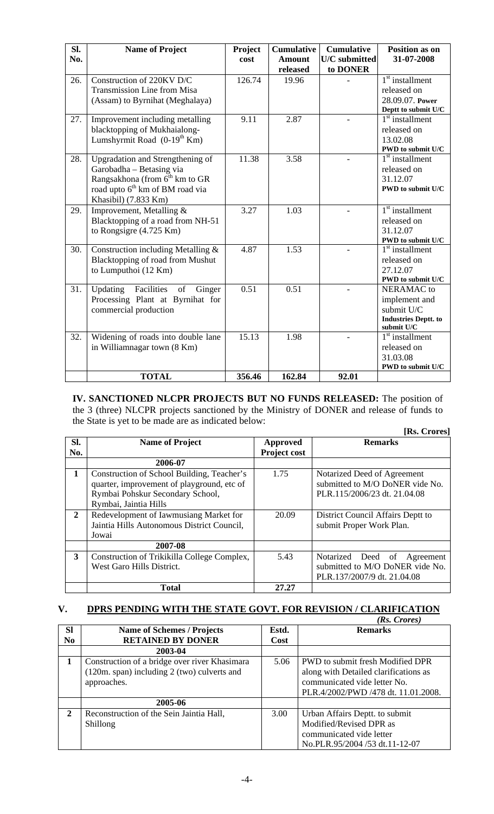| SI. | <b>Name of Project</b>                      | Project | <b>Cumulative</b> | <b>Cumulative</b> | <b>Position as on</b>                  |
|-----|---------------------------------------------|---------|-------------------|-------------------|----------------------------------------|
| No. |                                             | cost    | <b>Amount</b>     | U/C submitted     | 31-07-2008                             |
|     |                                             |         | released          | to DONER          |                                        |
| 26. | Construction of 220KV D/C                   | 126.74  | 19.96             |                   | $1st$ installment                      |
|     | Transmission Line from Misa                 |         |                   |                   | released on                            |
|     | (Assam) to Byrnihat (Meghalaya)             |         |                   |                   | 28.09.07. Power                        |
|     |                                             |         |                   |                   | Deptt to submit U/C                    |
| 27. | Improvement including metalling             | 9.11    | 2.87              |                   | $1st$ installment                      |
|     | blacktopping of Mukhaialong-                |         |                   |                   | released on                            |
|     | Lumshyrmit Road $(0-19th Km)$               |         |                   |                   | 13.02.08                               |
|     |                                             |         |                   |                   | PWD to submit U/C                      |
| 28. | Upgradation and Strengthening of            | 11.38   | 3.58              |                   | $1st$ installment                      |
|     | Garobadha - Betasing via                    |         |                   |                   | released on                            |
|     | Rangsakhona (from 6 <sup>th</sup> km to GR  |         |                   |                   | 31.12.07                               |
|     | road upto 6 <sup>th</sup> km of BM road via |         |                   |                   | PWD to submit U/C                      |
|     | Khasibil) (7.833 Km)                        |         |                   |                   |                                        |
| 29. | Improvement, Metalling &                    | 3.27    | 1.03              |                   | $1st$ installment                      |
|     | Blacktopping of a road from NH-51           |         |                   |                   | released on                            |
|     | to Rongsigre $(4.725 \text{ Km})$           |         |                   |                   | 31.12.07                               |
|     |                                             |         |                   |                   | PWD to submit U/C                      |
| 30. | Construction including Metalling &          | 4.87    | 1.53              |                   | $\overline{1}^{\text{st}}$ installment |
|     | Blacktopping of road from Mushut            |         |                   |                   | released on                            |
|     | to Lumputhoi (12 Km)                        |         |                   |                   | 27.12.07                               |
|     |                                             |         |                   |                   | PWD to submit U/C                      |
| 31. | Facilities<br>Updating<br>of<br>Ginger      | 0.51    | 0.51              |                   | <b>NERAMAC</b> to                      |
|     | Processing Plant at Byrnihat for            |         |                   |                   | implement and                          |
|     | commercial production                       |         |                   |                   | submit U/C                             |
|     |                                             |         |                   |                   | <b>Industries Deptt. to</b>            |
|     |                                             |         |                   |                   | submit $U/C$                           |
| 32. | Widening of roads into double lane          | 15.13   | 1.98              |                   | $1st$ installment                      |
|     | in Williamnagar town (8 Km)                 |         |                   |                   | released on                            |
|     |                                             |         |                   |                   | 31.03.08                               |
|     |                                             |         |                   |                   | PWD to submit U/C                      |
|     | <b>TOTAL</b>                                | 356.46  | 162.84            | 92.01             |                                        |

**IV. SANCTIONED NLCPR PROJECTS BUT NO FUNDS RELEASED:** The position of the 3 (three) NLCPR projects sanctioned by the Ministry of DONER and release of funds to the State is yet to be made are as indicated below:  **[Rs. Crores]** 

|                |                                             |                     | INS. UTOTES                       |
|----------------|---------------------------------------------|---------------------|-----------------------------------|
| SI.            | <b>Name of Project</b>                      | <b>Approved</b>     | <b>Remarks</b>                    |
| No.            |                                             | <b>Project cost</b> |                                   |
|                | 2006-07                                     |                     |                                   |
| 1              | Construction of School Building, Teacher's  | 1.75                | Notarized Deed of Agreement       |
|                | quarter, improvement of playground, etc of  |                     | submitted to M/O DoNER vide No.   |
|                | Rymbai Pohskur Secondary School,            |                     | PLR.115/2006/23 dt. 21.04.08      |
|                | Rymbai, Jaintia Hills                       |                     |                                   |
| $\overline{2}$ | Redevelopment of Iawmusiang Market for      | 20.09               | District Council Affairs Deptt to |
|                | Jaintia Hills Autonomous District Council,  |                     | submit Proper Work Plan.          |
|                | Jowai                                       |                     |                                   |
|                | 2007-08                                     |                     |                                   |
| 3              | Construction of Trikikilla College Complex, | 5.43                | Notarized Deed of<br>Agreement    |
|                | West Garo Hills District.                   |                     | submitted to M/O DoNER vide No.   |
|                |                                             |                     | PLR.137/2007/9 dt. 21.04.08       |
|                | <b>Total</b>                                | 27.27               |                                   |

## **V. DPRS PENDING WITH THE STATE GOVT. FOR REVISION / CLARIFICATION**  $(D_n, C_{mean})$

|                |                                                                                                               |       | (KS. C <i>rores)</i>                                                                                                                             |
|----------------|---------------------------------------------------------------------------------------------------------------|-------|--------------------------------------------------------------------------------------------------------------------------------------------------|
| <b>Sl</b>      | <b>Name of Schemes / Projects</b>                                                                             | Estd. | <b>Remarks</b>                                                                                                                                   |
| N <sub>0</sub> | <b>RETAINED BY DONER</b>                                                                                      | Cost  |                                                                                                                                                  |
|                | 2003-04                                                                                                       |       |                                                                                                                                                  |
|                | Construction of a bridge over river Khasimara<br>$(120m.$ span) including 2 (two) culverts and<br>approaches. | 5.06  | PWD to submit fresh Modified DPR<br>along with Detailed clarifications as<br>communicated vide letter No.<br>PLR.4/2002/PWD /478 dt. 11.01.2008. |
|                | 2005-06                                                                                                       |       |                                                                                                                                                  |
| 2              | Reconstruction of the Sein Jaintia Hall,<br>Shillong                                                          | 3.00  | Urban Affairs Deptt. to submit<br>Modified/Revised DPR as<br>communicated vide letter<br>No.PLR.95/2004 /53 dt.11-12-07                          |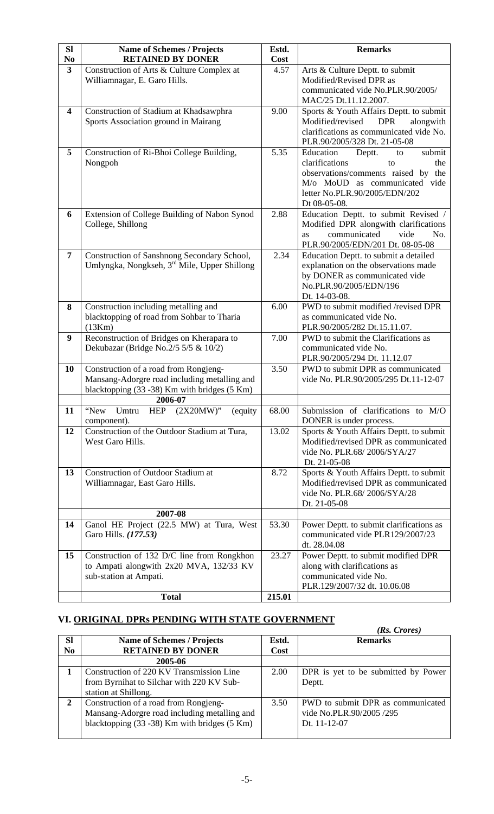| <b>Sl</b>                                 | <b>Name of Schemes / Projects</b><br><b>RETAINED BY DONER</b>     | Estd.        | <b>Remarks</b>                                                                  |
|-------------------------------------------|-------------------------------------------------------------------|--------------|---------------------------------------------------------------------------------|
| N <sub>0</sub><br>$\overline{\mathbf{3}}$ | Construction of Arts & Culture Complex at                         | Cost<br>4.57 | Arts & Culture Deptt. to submit                                                 |
|                                           | Williamnagar, E. Garo Hills.                                      |              | Modified/Revised DPR as                                                         |
|                                           |                                                                   |              | communicated vide No.PLR.90/2005/                                               |
|                                           |                                                                   |              | MAC/25 Dt.11.12.2007.                                                           |
| 4                                         | Construction of Stadium at Khadsawphra                            | 9.00         | Sports & Youth Affairs Deptt. to submit                                         |
|                                           | Sports Association ground in Mairang                              |              | Modified/revised<br><b>DPR</b><br>alongwith                                     |
|                                           |                                                                   |              | clarifications as communicated vide No.                                         |
|                                           |                                                                   |              | PLR.90/2005/328 Dt. 21-05-08                                                    |
| 5                                         | Construction of Ri-Bhoi College Building,                         | 5.35         | Education<br>submit<br>Deptt.<br>to                                             |
|                                           | Nongpoh                                                           |              | clarifications<br>the<br>to                                                     |
|                                           |                                                                   |              | observations/comments raised by the                                             |
|                                           |                                                                   |              | M/o MoUD as communicated vide                                                   |
|                                           |                                                                   |              | letter No.PLR.90/2005/EDN/202                                                   |
| 6                                         |                                                                   | 2.88         | Dt 08-05-08.                                                                    |
|                                           | Extension of College Building of Nabon Synod<br>College, Shillong |              | Education Deptt. to submit Revised /<br>Modified DPR alongwith clarifications   |
|                                           |                                                                   |              | communicated<br>vide<br>No.<br><b>as</b>                                        |
|                                           |                                                                   |              | PLR.90/2005/EDN/201 Dt. 08-05-08                                                |
| $\overline{7}$                            | Construction of Sanshnong Secondary School,                       | 2.34         | Education Deptt. to submit a detailed                                           |
|                                           | Umlyngka, Nongkseh, 3 <sup>rd</sup> Mile, Upper Shillong          |              | explanation on the observations made                                            |
|                                           |                                                                   |              | by DONER as communicated vide                                                   |
|                                           |                                                                   |              | No.PLR.90/2005/EDN/196                                                          |
|                                           |                                                                   |              | Dt. 14-03-08.                                                                   |
| 8                                         | Construction including metalling and                              | 6.00         | PWD to submit modified /revised DPR                                             |
|                                           | blacktopping of road from Sohbar to Tharia<br>(13Km)              |              | as communicated vide No.<br>PLR.90/2005/282 Dt.15.11.07.                        |
| 9                                         | Reconstruction of Bridges on Kherapara to                         | 7.00         | PWD to submit the Clarifications as                                             |
|                                           | Dekubazar (Bridge No.2/5 5/5 & 10/2)                              |              | communicated vide No.                                                           |
|                                           |                                                                   |              | PLR.90/2005/294 Dt. 11.12.07                                                    |
| 10                                        | Construction of a road from Rongjeng-                             | 3.50         | PWD to submit DPR as communicated                                               |
|                                           | Mansang-Adorgre road including metalling and                      |              | vide No. PLR.90/2005/295 Dt.11-12-07                                            |
|                                           | blacktopping (33 - 38) Km with bridges (5 Km)                     |              |                                                                                 |
|                                           | 2006-07                                                           |              |                                                                                 |
| 11                                        | "New<br>$(2X20MW)$ "<br>Umtru<br><b>HEP</b><br>(equity            | 68.00        | Submission of clarifications to M/O                                             |
|                                           | component).                                                       |              | DONER is under process.                                                         |
| 12                                        | Construction of the Outdoor Stadium at Tura,<br>West Garo Hills.  | 13.02        | Sports & Youth Affairs Deptt. to submit<br>Modified/revised DPR as communicated |
|                                           |                                                                   |              | vide No. PLR.68/2006/SYA/27                                                     |
|                                           |                                                                   |              | Dt. 21-05-08                                                                    |
| 13                                        | <b>Construction of Outdoor Stadium at</b>                         | 8.72         | Sports & Youth Affairs Deptt. to submit                                         |
|                                           | Williamnagar, East Garo Hills.                                    |              | Modified/revised DPR as communicated                                            |
|                                           |                                                                   |              | vide No. PLR.68/2006/SYA/28                                                     |
|                                           |                                                                   |              | Dt. 21-05-08                                                                    |
|                                           | 2007-08                                                           |              |                                                                                 |
| 14                                        | Ganol HE Project (22.5 MW) at Tura, West                          | 53.30        | Power Deptt. to submit clarifications as                                        |
|                                           | Garo Hills. (177.53)                                              |              | communicated vide PLR129/2007/23                                                |
|                                           |                                                                   |              | dt. 28.04.08                                                                    |
| 15                                        | Construction of 132 D/C line from Rongkhon                        | 23.27        | Power Deptt. to submit modified DPR                                             |
|                                           | to Ampati alongwith 2x20 MVA, 132/33 KV                           |              | along with clarifications as                                                    |
|                                           | sub-station at Ampati.                                            |              | communicated vide No.                                                           |
|                                           | <b>Total</b>                                                      | 215.01       | PLR.129/2007/32 dt. 10.06.08                                                    |
|                                           |                                                                   |              |                                                                                 |

## **VI. ORIGINAL DPRs PENDING WITH STATE GOVERNMENT**

|                |                                                           |       | (Rs. Crores)                        |
|----------------|-----------------------------------------------------------|-------|-------------------------------------|
| <b>Sl</b>      | <b>Name of Schemes / Projects</b>                         | Estd. | <b>Remarks</b>                      |
| N <sub>0</sub> | <b>RETAINED BY DONER</b>                                  | Cost  |                                     |
|                | 2005-06                                                   |       |                                     |
|                | Construction of 220 KV Transmission Line                  | 2.00  | DPR is yet to be submitted by Power |
|                | from Byrnihat to Silchar with 220 KV Sub-                 |       | Deptt.                              |
|                | station at Shillong.                                      |       |                                     |
| 2              | Construction of a road from Rongjeng-                     | 3.50  | PWD to submit DPR as communicated   |
|                | Mansang-Adorgre road including metalling and              |       | vide No.PLR.90/2005 /295            |
|                | blacktopping $(33 - 38)$ Km with bridges $(5 \text{ Km})$ |       | Dt. 11-12-07                        |
|                |                                                           |       |                                     |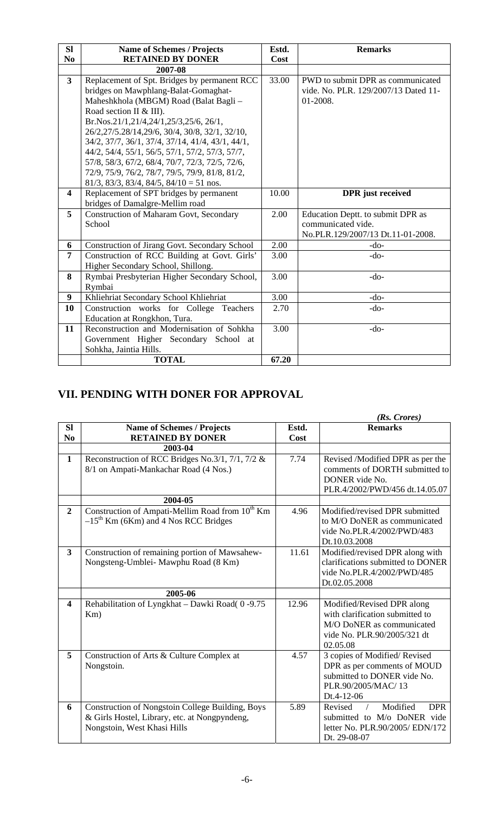| <b>SI</b>               | <b>Name of Schemes / Projects</b>                     | Estd. | <b>Remarks</b>                       |
|-------------------------|-------------------------------------------------------|-------|--------------------------------------|
| N <sub>0</sub>          | <b>RETAINED BY DONER</b>                              | Cost  |                                      |
|                         | 2007-08                                               |       |                                      |
| $\mathbf{3}$            | Replacement of Spt. Bridges by permanent RCC          | 33.00 | PWD to submit DPR as communicated    |
|                         | bridges on Mawphlang-Balat-Gomaghat-                  |       | vide. No. PLR. 129/2007/13 Dated 11- |
|                         | Maheshkhola (MBGM) Road (Balat Bagli -                |       | 01-2008.                             |
|                         | Road section II & III).                               |       |                                      |
|                         | Br.Nos.21/1,21/4,24/1,25/3,25/6, 26/1,                |       |                                      |
|                         | 26/2,27/5.28/14,29/6, 30/4, 30/8, 32/1, 32/10,        |       |                                      |
|                         | 34/2, 37/7, 36/1, 37/4, 37/14, 41/4, 43/1, 44/1,      |       |                                      |
|                         | 44/2, 54/4, 55/1, 56/5, 57/1, 57/2, 57/3, 57/7,       |       |                                      |
|                         | 57/8, 58/3, 67/2, 68/4, 70/7, 72/3, 72/5, 72/6,       |       |                                      |
|                         | 72/9, 75/9, 76/2, 78/7, 79/5, 79/9, 81/8, 81/2,       |       |                                      |
|                         | $81/3$ , $83/3$ , $83/4$ , $84/5$ , $84/10 = 51$ nos. |       |                                      |
| $\overline{\mathbf{4}}$ | Replacement of SPT bridges by permanent               | 10.00 | <b>DPR</b> just received             |
|                         | bridges of Damalgre-Mellim road                       |       |                                      |
| 5                       | <b>Construction of Maharam Govt, Secondary</b>        | 2.00  | Education Deptt. to submit DPR as    |
|                         | School                                                |       | communicated vide.                   |
|                         |                                                       |       | No.PLR.129/2007/13 Dt.11-01-2008.    |
| 6                       | Construction of Jirang Govt. Secondary School         | 2.00  | $-do-$                               |
| $\overline{7}$          | Construction of RCC Building at Govt. Girls'          | 3.00  | $-do-$                               |
|                         | Higher Secondary School, Shillong.                    |       |                                      |
| 8                       | Rymbai Presbyterian Higher Secondary School,          | 3.00  | $-do-$                               |
|                         | Rymbai                                                |       |                                      |
| $\boldsymbol{9}$        | Khliehriat Secondary School Khliehriat                | 3.00  | $-do-$                               |
| 10                      | Construction works for College Teachers               | 2.70  | $-do-$                               |
|                         | Education at Rongkhon, Tura.                          |       |                                      |
| 11                      | Reconstruction and Modernisation of Sohkha            | 3.00  | $-do-$                               |
|                         | Government Higher Secondary School at                 |       |                                      |
|                         | Sohkha, Jaintia Hills.                                |       |                                      |
|                         | <b>TOTAL</b>                                          | 67.20 |                                      |

## **VII. PENDING WITH DONER FOR APPROVAL**

|                         |                                                                                                                                  |       | $(Rs. \text{ Crores})$                                                                                                                |
|-------------------------|----------------------------------------------------------------------------------------------------------------------------------|-------|---------------------------------------------------------------------------------------------------------------------------------------|
| <b>SI</b>               | <b>Name of Schemes / Projects</b>                                                                                                | Estd. | <b>Remarks</b>                                                                                                                        |
| N <sub>0</sub>          | <b>RETAINED BY DONER</b>                                                                                                         | Cost  |                                                                                                                                       |
|                         | 2003-04                                                                                                                          |       |                                                                                                                                       |
| $\mathbf{1}$            | Reconstruction of RCC Bridges No.3/1, 7/1, 7/2 &<br>8/1 on Ampati-Mankachar Road (4 Nos.)                                        | 7.74  | Revised /Modified DPR as per the<br>comments of DORTH submitted to<br>DONER vide No.<br>PLR.4/2002/PWD/456 dt.14.05.07                |
|                         | 2004-05                                                                                                                          |       |                                                                                                                                       |
| $\boldsymbol{2}$        | Construction of Ampati-Mellim Road from 10 <sup>th</sup> Km<br>$-15^{th}$ Km (6Km) and 4 Nos RCC Bridges                         | 4.96  | Modified/revised DPR submitted<br>to M/O DoNER as communicated<br>vide No.PLR.4/2002/PWD/483<br>Dt.10.03.2008                         |
| $\overline{3}$          | Construction of remaining portion of Mawsahew-<br>Nongsteng-Umblei- Mawphu Road (8 Km)                                           | 11.61 | Modified/revised DPR along with<br>clarifications submitted to DONER<br>vide No.PLR.4/2002/PWD/485<br>Dt.02.05.2008                   |
|                         | 2005-06                                                                                                                          |       |                                                                                                                                       |
| $\overline{\mathbf{4}}$ | Rehabilitation of Lyngkhat - Dawki Road(0-9.75<br>Km)                                                                            | 12.96 | Modified/Revised DPR along<br>with clarification submitted to<br>M/O DoNER as communicated<br>vide No. PLR.90/2005/321 dt<br>02.05.08 |
| 5                       | Construction of Arts & Culture Complex at<br>Nongstoin.                                                                          | 4.57  | 3 copies of Modified/Revised<br>DPR as per comments of MOUD<br>submitted to DONER vide No.<br>PLR.90/2005/MAC/13<br>Dt.4-12-06        |
| 6                       | Construction of Nongstoin College Building, Boys<br>& Girls Hostel, Library, etc. at Nongpyndeng,<br>Nongstoin, West Khasi Hills | 5.89  | Modified<br><b>DPR</b><br>Revised<br>submitted to M/o DoNER vide<br>letter No. PLR.90/2005/ EDN/172<br>Dt. 29-08-07                   |